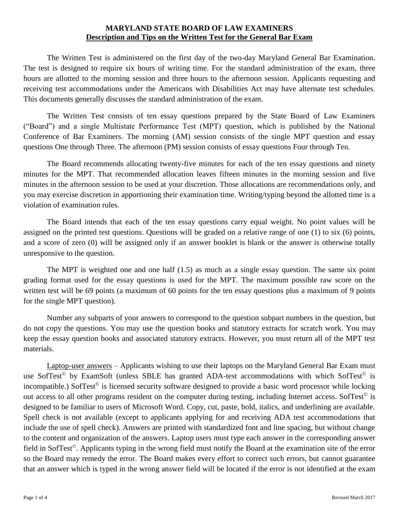The Written Test is administered on the first day of the two-day Maryland General Bar Examination. The test is designed to require six hours of writing time. For the standard administration of the exam, three hours are allotted to the morning session and three hours to the afternoon session. Applicants requesting and receiving test accommodations under the Americans with Disabilities Act may have alternate test schedules. This documents generally discusses the standard administration of the exam.

The Written Test consists of ten essay questions prepared by the State Board of Law Examiners ("Board") and a single Multistate Performance Test (MPT) question, which is published by the National Conference of Bar Examiners. The morning (AM) session consists of the single MPT question and essay questions One through Three. The afternoon (PM) session consists of essay questions Four through Ten.

The Board recommends allocating twenty-five minutes for each of the ten essay questions and ninety minutes for the MPT. That recommended allocation leaves fifteen minutes in the morning session and five minutes in the afternoon session to be used at your discretion. Those allocations are recommendations only, and you may exercise discretion in apportioning their examination time. Writing/typing beyond the allotted time is a violation of examination rules.

The Board intends that each of the ten essay questions carry equal weight. No point values will be assigned on the printed test questions. Questions will be graded on a relative range of one (1) to six (6) points, and a score of zero (0) will be assigned only if an answer booklet is blank or the answer is otherwise totally unresponsive to the question.

The MPT is weighted one and one half (1.5) as much as a single essay question. The same six point grading format used for the essay questions is used for the MPT. The maximum possible raw score on the written test will be 69 points (a maximum of 60 points for the ten essay questions plus a maximum of 9 points for the single MPT question).

Number any subparts of your answers to correspond to the question subpart numbers in the question, but do not copy the questions. You may use the question books and statutory extracts for scratch work. You may keep the essay question books and associated statutory extracts. However, you must return all of the MPT test materials.

Laptop-user answers – Applicants wishing to use their laptops on the Maryland General Bar Exam must use SofTest<sup>©</sup> by ExamSoft (unless SBLE has granted ADA-test accommodations with which SofTest<sup>©</sup> is incompatible.) SofTest<sup>©</sup> is licensed security software designed to provide a basic word processor while locking out access to all other programs resident on the computer during testing, including Internet access. SofTest<sup>©</sup> is designed to be familiar to users of Microsoft Word. Copy, cut, paste, bold, italics, and underlining are available. Spell check is not available (except to applicants applying for and receiving ADA test accommodations that include the use of spell check). Answers are printed with standardized font and line spacing, but without change to the content and organization of the answers. Laptop users must type each answer in the corresponding answer field in SofTest©. Applicants typing in the wrong field must notify the Board at the examination site of the error so the Board may remedy the error. The Board makes every effort to correct such errors, but cannot guarantee that an answer which is typed in the wrong answer field will be located if the error is not identified at the exam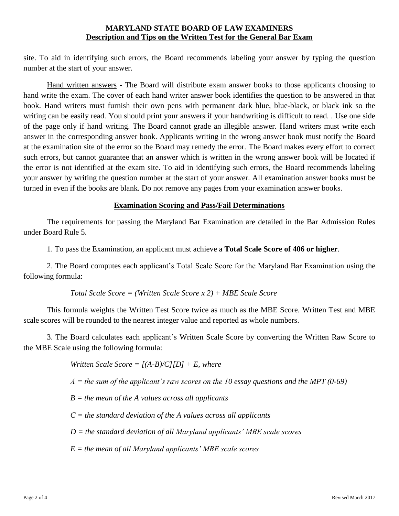site. To aid in identifying such errors, the Board recommends labeling your answer by typing the question number at the start of your answer.

Hand written answers - The Board will distribute exam answer books to those applicants choosing to hand write the exam. The cover of each hand writer answer book identifies the question to be answered in that book. Hand writers must furnish their own pens with permanent dark blue, blue-black, or black ink so the writing can be easily read. You should print your answers if your handwriting is difficult to read. . Use one side of the page only if hand writing. The Board cannot grade an illegible answer. Hand writers must write each answer in the corresponding answer book. Applicants writing in the wrong answer book must notify the Board at the examination site of the error so the Board may remedy the error. The Board makes every effort to correct such errors, but cannot guarantee that an answer which is written in the wrong answer book will be located if the error is not identified at the exam site. To aid in identifying such errors, the Board recommends labeling your answer by writing the question number at the start of your answer. All examination answer books must be turned in even if the books are blank. Do not remove any pages from your examination answer books.

# **Examination Scoring and Pass/Fail Determinations**

The requirements for passing the Maryland Bar Examination are detailed in the Bar Admission Rules under Board Rule 5.

1. To pass the Examination, an applicant must achieve a **Total Scale Score of 406 or higher**.

2. The Board computes each applicant's Total Scale Score for the Maryland Bar Examination using the following formula:

#### *Total Scale Score = (Written Scale Score x 2) + MBE Scale Score*

This formula weights the Written Test Score twice as much as the MBE Score. Written Test and MBE scale scores will be rounded to the nearest integer value and reported as whole numbers.

3. The Board calculates each applicant's Written Scale Score by converting the Written Raw Score to the MBE Scale using the following formula:

*Written Scale Score = [(A-B)/C][D] + E, where*

*A = the sum of the applicant's raw scores on the 10 essay questions and the MPT (0-69)*

*B = the mean of the A values across all applicants*

*C = the standard deviation of the A values across all applicants*

*D = the standard deviation of all Maryland applicants' MBE scale scores*

*E = the mean of all Maryland applicants' MBE scale scores*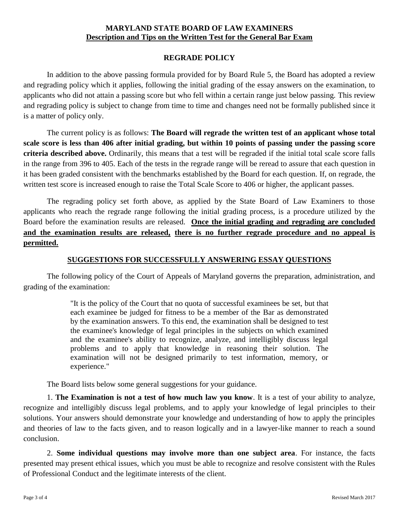# **REGRADE POLICY**

In addition to the above passing formula provided for by Board Rule 5, the Board has adopted a review and regrading policy which it applies, following the initial grading of the essay answers on the examination, to applicants who did not attain a passing score but who fell within a certain range just below passing. This review and regrading policy is subject to change from time to time and changes need not be formally published since it is a matter of policy only.

The current policy is as follows: **The Board will regrade the written test of an applicant whose total scale score is less than 406 after initial grading, but within 10 points of passing under the passing score criteria described above.** Ordinarily, this means that a test will be regraded if the initial total scale score falls in the range from 396 to 405. Each of the tests in the regrade range will be reread to assure that each question in it has been graded consistent with the benchmarks established by the Board for each question. If, on regrade, the written test score is increased enough to raise the Total Scale Score to 406 or higher, the applicant passes.

The regrading policy set forth above, as applied by the State Board of Law Examiners to those applicants who reach the regrade range following the initial grading process, is a procedure utilized by the Board before the examination results are released. **Once the initial grading and regrading are concluded and the examination results are released, there is no further regrade procedure and no appeal is permitted.**

## **SUGGESTIONS FOR SUCCESSFULLY ANSWERING ESSAY QUESTIONS**

The following policy of the Court of Appeals of Maryland governs the preparation, administration, and grading of the examination:

> "It is the policy of the Court that no quota of successful examinees be set, but that each examinee be judged for fitness to be a member of the Bar as demonstrated by the examination answers. To this end, the examination shall be designed to test the examinee's knowledge of legal principles in the subjects on which examined and the examinee's ability to recognize, analyze, and intelligibly discuss legal problems and to apply that knowledge in reasoning their solution. The examination will not be designed primarily to test information, memory, or experience."

The Board lists below some general suggestions for your guidance.

1. **The Examination is not a test of how much law you know**. It is a test of your ability to analyze, recognize and intelligibly discuss legal problems, and to apply your knowledge of legal principles to their solutions. Your answers should demonstrate your knowledge and understanding of how to apply the principles and theories of law to the facts given, and to reason logically and in a lawyer-like manner to reach a sound conclusion.

2. **Some individual questions may involve more than one subject area**. For instance, the facts presented may present ethical issues, which you must be able to recognize and resolve consistent with the Rules of Professional Conduct and the legitimate interests of the client.